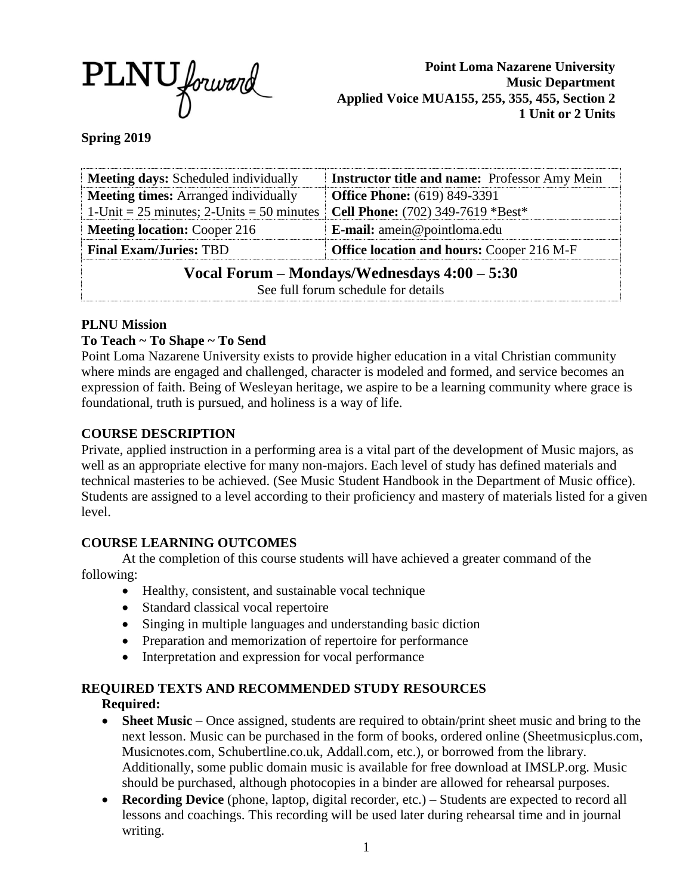

**Point Loma Nazarene University Music Department Applied Voice MUA155, 255, 355, 455, Section 2 1 Unit or 2 Units**

**Spring 2019**

| <b>Meeting days:</b> Scheduled individually                                         | <b>Instructor title and name:</b> Professor Amy Mein |  |
|-------------------------------------------------------------------------------------|------------------------------------------------------|--|
| <b>Meeting times:</b> Arranged individually                                         | <b>Office Phone:</b> (619) 849-3391                  |  |
| 1-Unit = $25$ minutes; 2-Units = $50$ minutes                                       | Cell Phone: (702) 349-7619 *Best*                    |  |
| <b>Meeting location: Cooper 216</b>                                                 | <b>E-mail:</b> amein@pointloma.edu                   |  |
| <b>Final Exam/Juries: TBD</b><br><b>Office location and hours: Cooper 216 M-F</b>   |                                                      |  |
| Vocal Forum – Mondays/Wednesdays 4:00 – 5:30<br>See full forum schedule for details |                                                      |  |

### **PLNU Mission**

# **To Teach ~ To Shape ~ To Send**

Point Loma Nazarene University exists to provide higher education in a vital Christian community where minds are engaged and challenged, character is modeled and formed, and service becomes an expression of faith. Being of Wesleyan heritage, we aspire to be a learning community where grace is foundational, truth is pursued, and holiness is a way of life.

# **COURSE DESCRIPTION**

Private, applied instruction in a performing area is a vital part of the development of Music majors, as well as an appropriate elective for many non-majors. Each level of study has defined materials and technical masteries to be achieved. (See Music Student Handbook in the Department of Music office). Students are assigned to a level according to their proficiency and mastery of materials listed for a given level.

### **COURSE LEARNING OUTCOMES**

At the completion of this course students will have achieved a greater command of the following:

- Healthy, consistent, and sustainable vocal technique
- Standard classical vocal repertoire
- Singing in multiple languages and understanding basic diction
- Preparation and memorization of repertoire for performance
- Interpretation and expression for vocal performance

#### **REQUIRED TEXTS AND RECOMMENDED STUDY RESOURCES Required:**

- **Sheet Music** Once assigned, students are required to obtain/print sheet music and bring to the next lesson. Music can be purchased in the form of books, ordered online (Sheetmusicplus.com, Musicnotes.com, Schubertline.co.uk, Addall.com, etc.), or borrowed from the library. Additionally, some public domain music is available for free download at IMSLP.org. Music should be purchased, although photocopies in a binder are allowed for rehearsal purposes.
- **Recording Device** (phone, laptop, digital recorder, etc.) Students are expected to record all lessons and coachings. This recording will be used later during rehearsal time and in journal writing.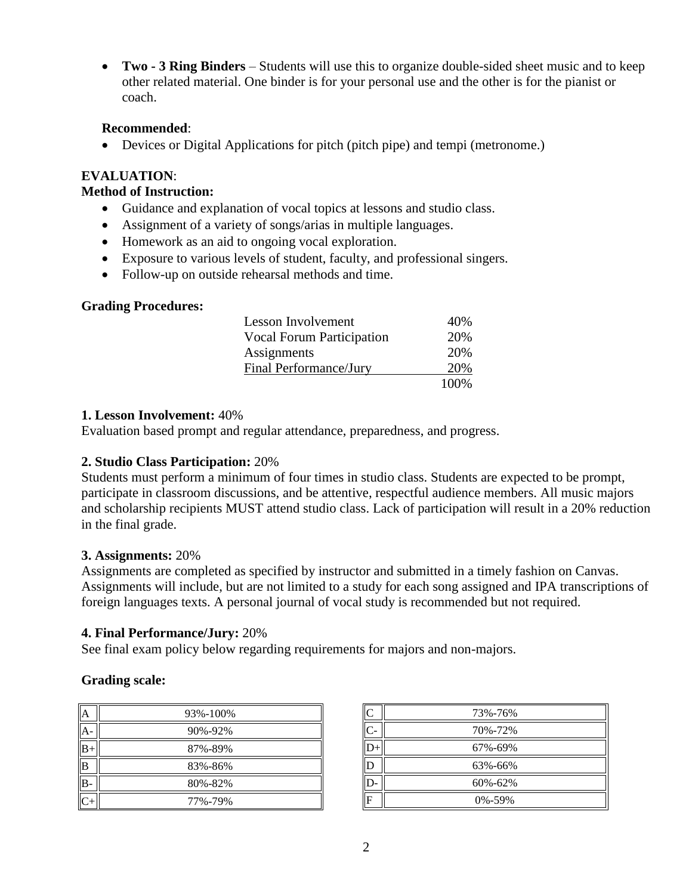• **Two - 3 Ring Binders** – Students will use this to organize double-sided sheet music and to keep other related material. One binder is for your personal use and the other is for the pianist or coach.

### **Recommended**:

• Devices or Digital Applications for pitch (pitch pipe) and tempi (metronome.)

### **EVALUATION**:

### **Method of Instruction:**

- Guidance and explanation of vocal topics at lessons and studio class.
- Assignment of a variety of songs/arias in multiple languages.
- Homework as an aid to ongoing vocal exploration.
- Exposure to various levels of student, faculty, and professional singers.
- Follow-up on outside rehearsal methods and time.

#### **Grading Procedures:**

| Lesson Involvement               | 40%  |
|----------------------------------|------|
| <b>Vocal Forum Participation</b> | 20%  |
| Assignments                      | 20%  |
| Final Performance/Jury           | 20%  |
|                                  | 100% |

#### **1. Lesson Involvement:** 40%

Evaluation based prompt and regular attendance, preparedness, and progress.

#### **2. Studio Class Participation:** 20%

Students must perform a minimum of four times in studio class. Students are expected to be prompt, participate in classroom discussions, and be attentive, respectful audience members. All music majors and scholarship recipients MUST attend studio class. Lack of participation will result in a 20% reduction in the final grade.

#### **3. Assignments:** 20%

Assignments are completed as specified by instructor and submitted in a timely fashion on Canvas. Assignments will include, but are not limited to a study for each song assigned and IPA transcriptions of foreign languages texts. A personal journal of vocal study is recommended but not required.

#### **4. Final Performance/Jury:** 20%

See final exam policy below regarding requirements for majors and non-majors.

#### **Grading scale:**

| <b>A</b> | 93%-100% |
|----------|----------|
|          | 90%-92%  |
| $B+$     | 87%-89%  |
| <b>B</b> | 83%-86%  |
| lв       | 80%-82%  |
|          | 77%-79%  |

| C  | 73%-76%       |
|----|---------------|
| C. | 70%-72%       |
|    | 67%-69%       |
|    | 63%-66%       |
| D- | $60\% - 62\%$ |
| F  | $0\% - 59\%$  |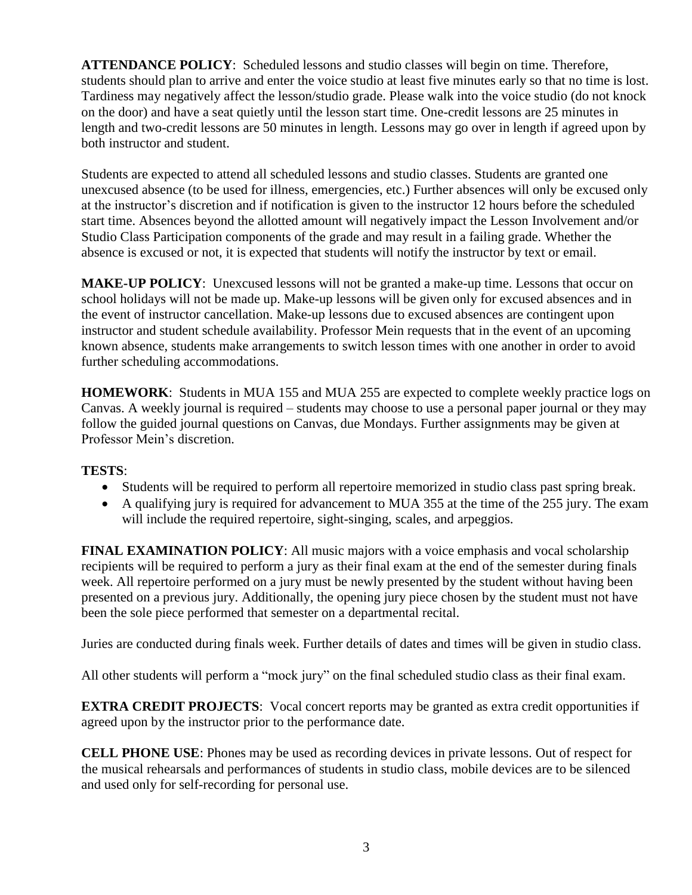**ATTENDANCE POLICY**: Scheduled lessons and studio classes will begin on time. Therefore, students should plan to arrive and enter the voice studio at least five minutes early so that no time is lost. Tardiness may negatively affect the lesson/studio grade. Please walk into the voice studio (do not knock on the door) and have a seat quietly until the lesson start time. One-credit lessons are 25 minutes in length and two-credit lessons are 50 minutes in length. Lessons may go over in length if agreed upon by both instructor and student.

Students are expected to attend all scheduled lessons and studio classes. Students are granted one unexcused absence (to be used for illness, emergencies, etc.) Further absences will only be excused only at the instructor's discretion and if notification is given to the instructor 12 hours before the scheduled start time. Absences beyond the allotted amount will negatively impact the Lesson Involvement and/or Studio Class Participation components of the grade and may result in a failing grade. Whether the absence is excused or not, it is expected that students will notify the instructor by text or email.

**MAKE-UP POLICY**: Unexcused lessons will not be granted a make-up time. Lessons that occur on school holidays will not be made up. Make-up lessons will be given only for excused absences and in the event of instructor cancellation. Make-up lessons due to excused absences are contingent upon instructor and student schedule availability. Professor Mein requests that in the event of an upcoming known absence, students make arrangements to switch lesson times with one another in order to avoid further scheduling accommodations.

**HOMEWORK**: Students in MUA 155 and MUA 255 are expected to complete weekly practice logs on Canvas. A weekly journal is required – students may choose to use a personal paper journal or they may follow the guided journal questions on Canvas, due Mondays. Further assignments may be given at Professor Mein's discretion.

### **TESTS**:

- Students will be required to perform all repertoire memorized in studio class past spring break.
- A qualifying jury is required for advancement to MUA 355 at the time of the 255 jury. The exam will include the required repertoire, sight-singing, scales, and arpeggios.

**FINAL EXAMINATION POLICY**: All music majors with a voice emphasis and vocal scholarship recipients will be required to perform a jury as their final exam at the end of the semester during finals week. All repertoire performed on a jury must be newly presented by the student without having been presented on a previous jury. Additionally, the opening jury piece chosen by the student must not have been the sole piece performed that semester on a departmental recital.

Juries are conducted during finals week. Further details of dates and times will be given in studio class.

All other students will perform a "mock jury" on the final scheduled studio class as their final exam.

**EXTRA CREDIT PROJECTS:** Vocal concert reports may be granted as extra credit opportunities if agreed upon by the instructor prior to the performance date.

**CELL PHONE USE**: Phones may be used as recording devices in private lessons. Out of respect for the musical rehearsals and performances of students in studio class, mobile devices are to be silenced and used only for self-recording for personal use.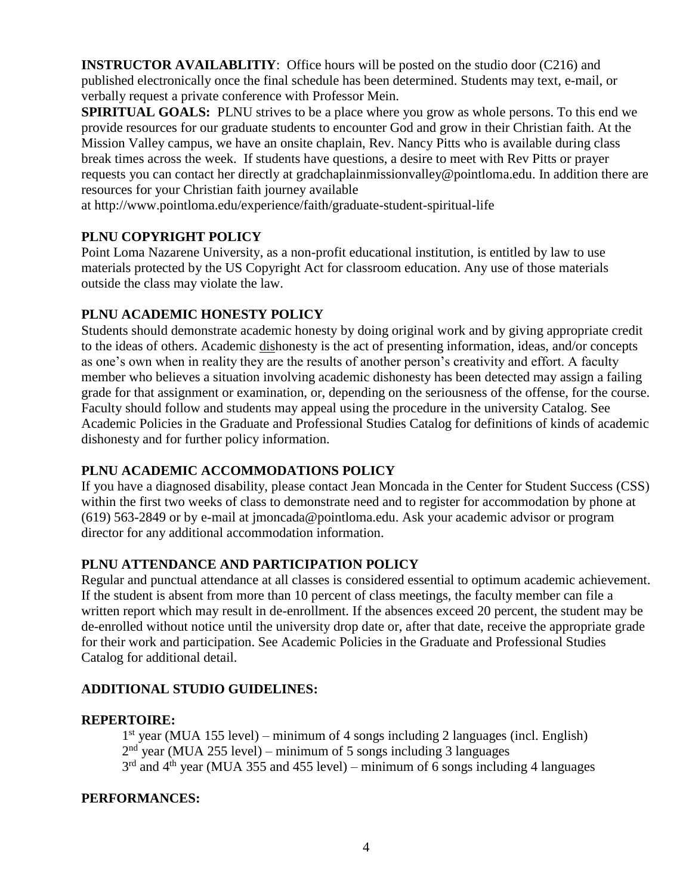**INSTRUCTOR AVAILABLITIY:** Office hours will be posted on the studio door (C216) and published electronically once the final schedule has been determined. Students may text, e-mail, or verbally request a private conference with Professor Mein.

**SPIRITUAL GOALS:** PLNU strives to be a place where you grow as whole persons. To this end we provide resources for our graduate students to encounter God and grow in their Christian faith. At the Mission Valley campus, we have an onsite chaplain, Rev. Nancy Pitts who is available during class break times across the week. If students have questions, a desire to meet with Rev Pitts or prayer requests you can contact her directly at gradchaplainmissionvalley@pointloma.edu. In addition there are resources for your Christian faith journey available

at http://www.pointloma.edu/experience/faith/graduate-student-spiritual-life

# **PLNU COPYRIGHT POLICY**

Point Loma Nazarene University, as a non-profit educational institution, is entitled by law to use materials protected by the US Copyright Act for classroom education. Any use of those materials outside the class may violate the law.

### **PLNU ACADEMIC HONESTY POLICY**

Students should demonstrate academic honesty by doing original work and by giving appropriate credit to the ideas of others. Academic dishonesty is the act of presenting information, ideas, and/or concepts as one's own when in reality they are the results of another person's creativity and effort. A faculty member who believes a situation involving academic dishonesty has been detected may assign a failing grade for that assignment or examination, or, depending on the seriousness of the offense, for the course. Faculty should follow and students may appeal using the procedure in the university Catalog. See Academic Policies in the Graduate and Professional Studies Catalog for definitions of kinds of academic dishonesty and for further policy information.

### **PLNU ACADEMIC ACCOMMODATIONS POLICY**

If you have a diagnosed disability, please contact Jean Moncada in the Center for Student Success (CSS) within the first two weeks of class to demonstrate need and to register for accommodation by phone at (619) 563-2849 or by e-mail at jmoncada@pointloma.edu. Ask your academic advisor or program director for any additional accommodation information.

### **PLNU ATTENDANCE AND PARTICIPATION POLICY**

Regular and punctual attendance at all classes is considered essential to optimum academic achievement. If the student is absent from more than 10 percent of class meetings, the faculty member can file a written report which may result in de-enrollment. If the absences exceed 20 percent, the student may be de-enrolled without notice until the university drop date or, after that date, receive the appropriate grade for their work and participation. See Academic Policies in the Graduate and Professional Studies Catalog for additional detail.

### **ADDITIONAL STUDIO GUIDELINES:**

### **REPERTOIRE:**

1 st year (MUA 155 level) – minimum of 4 songs including 2 languages (incl. English)  $2<sup>nd</sup>$  year (MUA 255 level) – minimum of 5 songs including 3 languages  $3<sup>rd</sup>$  and  $4<sup>th</sup>$  year (MUA 355 and 455 level) – minimum of 6 songs including 4 languages

### **PERFORMANCES:**